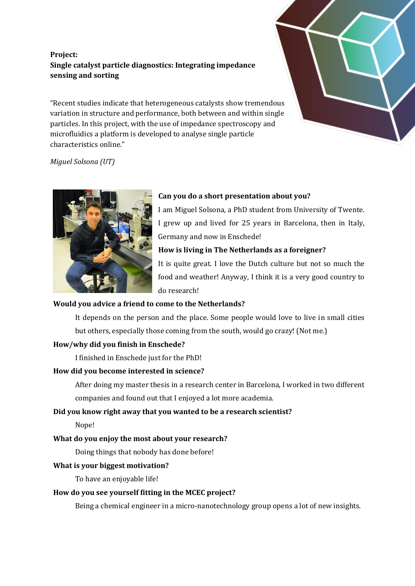# **Project: Single catalyst particle diagnostics: Integrating impedance sensing and sorting**

"Recent studies indicate that heterogeneous catalysts show tremendous variation in structure and performance, both between and within single particles. In this project, with the use of impedance spectroscopy and microfluidics a platform is developed to analyse single particle characteristics online."



*Miguel Solsona (UT)*



#### **Can you do a short presentation about you?**

I am Miguel Solsona, a PhD student from University of Twente. I grew up and lived for 25 years in Barcelona, then in Italy, Germany and now in Enschede!

#### **How is living in The Netherlands as a foreigner?**

It is quite great. I love the Dutch culture but not so much the food and weather! Anyway, I think it is a very good country to do research!

### **Would you advice a friend to come to the Netherlands?**

It depends on the person and the place. Some people would love to live in small cities but others, especially those coming from the south, would go crazy! (Not me.)

### **How/why did you finish in Enschede?**

I finished in Enschede just for the PhD!

#### **How did you become interested in science?**

After doing my master thesis in a research center in Barcelona, I worked in two different companies and found out that I enjoyed a lot more academia.

### **Did you know right away that you wanted to be a research scientist?**

Nope!

### **What do you enjoy the most about your research?**

Doing things that nobody has done before!

### **What is your biggest motivation?**

To have an enjoyable life!

### **How do you see yourself fitting in the MCEC project?**

Being a chemical engineer in a micro-nanotechnology group opens a lot of new insights.